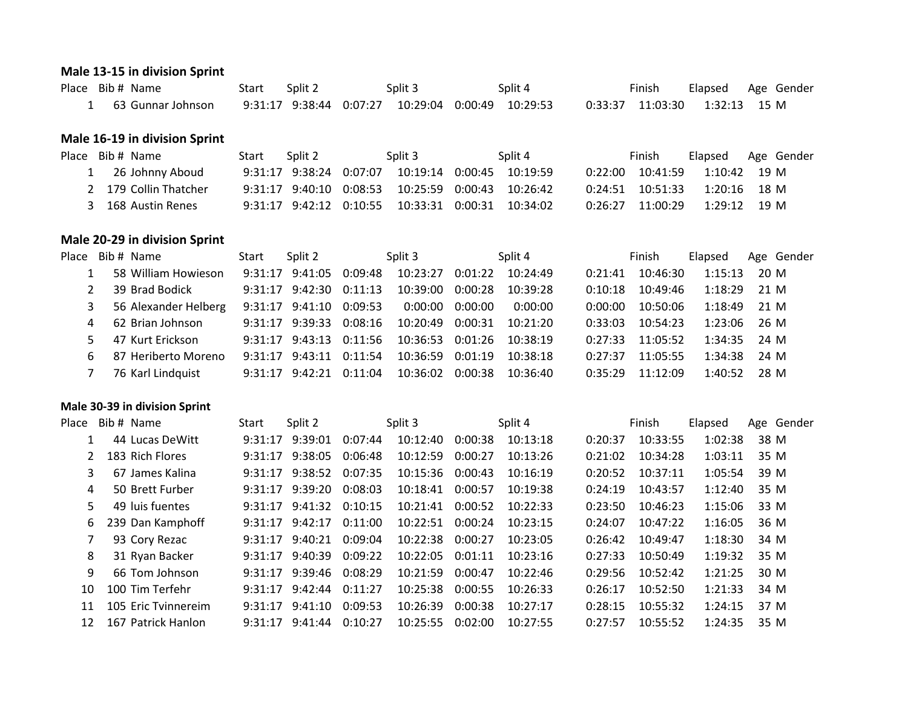#### **Male 13-15 in division Sprint**

| Place Bib # Name  | Start Split 2 |  | Split 3 | Split 4 | Finish | Elapsed Age Gender |
|-------------------|---------------|--|---------|---------|--------|--------------------|
| 63 Gunnar Johnson |               |  |         |         |        |                    |

#### **Male 16-19 in division Sprint**

| Place Bib # Name      | Start Split 2 | Split 3                                                       | Split 4 | Finish               |              | Elapsed Age Gender |
|-----------------------|---------------|---------------------------------------------------------------|---------|----------------------|--------------|--------------------|
| 1 26 Johnny Aboud     |               | $9:31:17$ $9:38:24$ $0:07:07$ $10:19:14$ $0:00:45$ $10:19:59$ |         | 0:22:00 10:41:59     | 1:10:42 19 M |                    |
| 2 179 Collin Thatcher |               | $9:31:17$ $9:40:10$ $0:08:53$ $10:25:59$ $0:00:43$ $10:26:42$ |         | $0:24:51$ $10:51:33$ | 1:20:16 18 M |                    |
| 3 168 Austin Renes    |               | $9:31:17$ $9:42:12$ $0:10:55$ $10:33:31$ $0:00:31$ $10:34:02$ |         | 0:26:27 11:00:29     | 1:29:12 19 M |                    |

## **Male 20-29 in division Sprint**

| Place Bib # Name                                                      | Start | Split 2                       | Split 3                                           | Split 4  |         | Finish   | Elapsed Age Gender |  |
|-----------------------------------------------------------------------|-------|-------------------------------|---------------------------------------------------|----------|---------|----------|--------------------|--|
| 58 William Howieson 9:31:17 9:41:05 0:09:48 10:23:27 0:01:22 10:24:49 |       |                               |                                                   |          | 0:21:41 | 10:46:30 | $1:15:13$ 20 M     |  |
| 39 Brad Bodick                                                        |       | $9:31:17$ $9:42:30$ $0:11:13$ | 10:39:00  0:00:28                                 | 10:39:28 | 0:10:18 | 10:49:46 | $1:18:29$ 21 M     |  |
| 56 Alexander Helberg<br>3                                             |       | 9:31:17 9:41:10 0:09:53       | 0:00:00 0:00:00                                   | 0:00:00  | 0:00:00 | 10:50:06 | $1:18:49$ 21 M     |  |
| 4 62 Brian Johnson                                                    |       |                               | 9:31:17 9:39:33 0:08:16 10:20:49 0:00:31          | 10:21:20 | 0:33:03 | 10:54:23 | $1:23:06$ 26 M     |  |
| 5 47 Kurt Erickson                                                    |       |                               | 9:31:17 9:43:13 0:11:56 10:36:53 0:01:26 10:38:19 |          | 0:27:33 | 11:05:52 | 1:34:35 24 M       |  |
| 87 Heriberto Moreno<br>6                                              |       | 9:31:17 9:43:11 0:11:54       | 10:36:59 0:01:19                                  | 10:38:18 | 0:27:37 | 11:05:55 | $1:34:38$ 24 M     |  |
| 76 Karl Lindquist                                                     |       |                               |                                                   | 10:36:40 | 0:35:29 | 11:12:09 | $1:40:52$ 28 M     |  |
|                                                                       |       |                               |                                                   |          |         |          |                    |  |

#### **Male 30-39 in division Sprint**

| Place | Bib # Name          | Start   | Split 2             |         | Split 3  |         | Split 4  |         | Finish   | Elapsed |      | Age Gender |
|-------|---------------------|---------|---------------------|---------|----------|---------|----------|---------|----------|---------|------|------------|
|       | 44 Lucas DeWitt     |         | 9:31:17 9:39:01     | 0:07:44 | 10:12:40 | 0:00:38 | 10:13:18 | 0:20:37 | 10:33:55 | 1:02:38 | 38 M |            |
|       | 183 Rich Flores     |         | 9:31:17 9:38:05     | 0:06:48 | 10:12:59 | 0:00:27 | 10:13:26 | 0:21:02 | 10:34:28 | 1:03:11 | 35 M |            |
|       | 67 James Kalina     |         | $9:31:17$ $9:38:52$ | 0:07:35 | 10:15:36 | 0:00:43 | 10:16:19 | 0:20:52 | 10:37:11 | 1:05:54 | 39 M |            |
| 4     | 50 Brett Furber     | 9:31:17 | 9:39:20             | 0:08:03 | 10:18:41 | 0:00:57 | 10:19:38 | 0:24:19 | 10:43:57 | 1:12:40 | 35 M |            |
| 5.    | 49 luis fuentes     | 9:31:17 | 9:41:32             | 0:10:15 | 10:21:41 | 0:00:52 | 10:22:33 | 0:23:50 | 10:46:23 | 1:15:06 | 33 M |            |
| 6     | 239 Dan Kamphoff    |         | $9:31:17$ $9:42:17$ | 0:11:00 | 10:22:51 | 0:00:24 | 10:23:15 | 0:24:07 | 10:47:22 | 1:16:05 | 36 M |            |
|       | 93 Cory Rezac       |         | $9:31:17$ $9:40:21$ | 0:09:04 | 10:22:38 | 0:00:27 | 10:23:05 | 0:26:42 | 10:49:47 | 1:18:30 | 34 M |            |
| 8     | 31 Ryan Backer      |         | $9:31:17$ $9:40:39$ | 0:09:22 | 10:22:05 | 0:01:11 | 10:23:16 | 0:27:33 | 10:50:49 | 1:19:32 | 35 M |            |
| 9     | 66 Tom Johnson      | 9:31:17 | 9:39:46             | 0:08:29 | 10:21:59 | 0:00:47 | 10:22:46 | 0:29:56 | 10:52:42 | 1:21:25 | 30 M |            |
| 10    | 100 Tim Terfehr     | 9:31:17 | 9:42:44             | 0:11:27 | 10:25:38 | 0:00:55 | 10:26:33 | 0:26:17 | 10:52:50 | 1:21:33 | 34 M |            |
| 11    | 105 Eric Tvinnereim | 9:31:17 | 9:41:10             | 0:09:53 | 10:26:39 | 0:00:38 | 10:27:17 | 0:28:15 | 10:55:32 | 1:24:15 | 37 M |            |
| 12    | 167 Patrick Hanlon  | 9:31:17 | 9:41:44             | 0:10:27 | 10:25:55 | 0:02:00 | 10:27:55 | 0:27:57 | 10:55:52 | 1:24:35 | 35 M |            |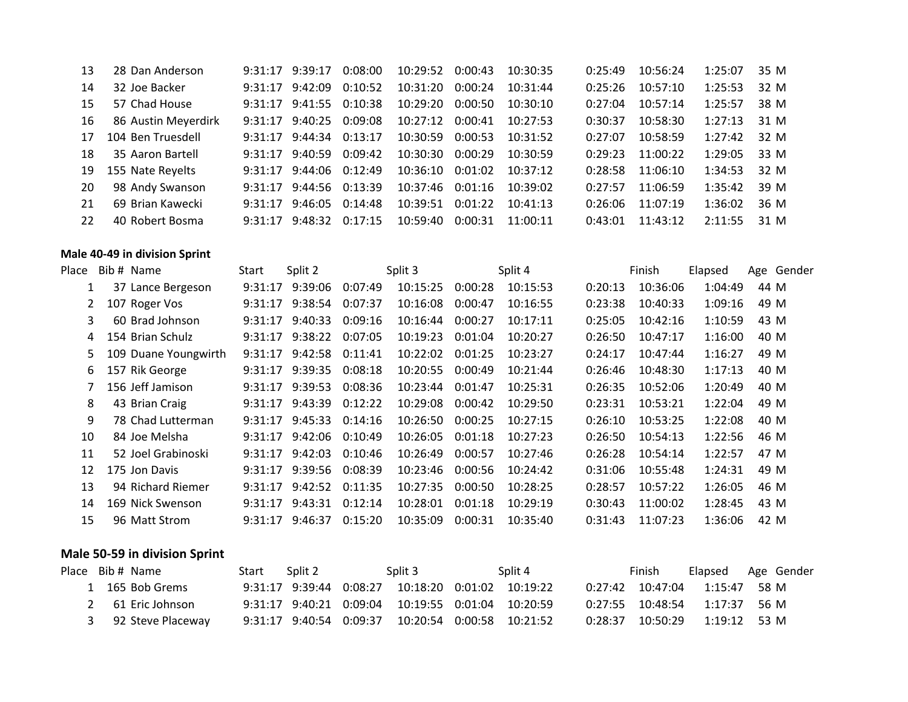| 13              | 28 Dan Anderson      | $9:31:17$ $9:39:17$           | 0:08:00 | 10:29:52 0:00:43 |         | 10:30:35 | 0:25:49 | 10:56:24 | 1:25:07 | 35 M |
|-----------------|----------------------|-------------------------------|---------|------------------|---------|----------|---------|----------|---------|------|
| 14              | 32 Joe Backer        | $9:31:17$ $9:42:09$           | 0:10:52 | 10:31:20 0:00:24 |         | 10:31:44 | 0:25:26 | 10:57:10 | 1:25:53 | 32 M |
| 15 <sup>2</sup> | 57 Chad House        | 9:31:17 9:41:55 0:10:38       |         | 10:29:20 0:00:50 |         | 10:30:10 | 0:27:04 | 10:57:14 | 1:25:57 | 38 M |
| 16              | 86 Austin Meyerdirk  | 9:31:17 9:40:25 0:09:08       |         | 10:27:12 0:00:41 |         | 10:27:53 | 0:30:37 | 10:58:30 | 1:27:13 | 31 M |
|                 | 17 104 Ben Truesdell | $9:31:17$ $9:44:34$ $0:13:17$ |         | 10:30:59 0:00:53 |         | 10:31:52 | 0:27:07 | 10:58:59 | 1:27:42 | 32 M |
| 18              | 35 Aaron Bartell     | $9:31:17$ $9:40:59$           | 0:09:42 | 10:30:30 0:00:29 |         | 10:30:59 | 0:29:23 | 11:00:22 | 1:29:05 | 33 M |
|                 | 19 155 Nate Reyelts  | $9:31:17$ $9:44:06$ $0:12:49$ |         | 10:36:10 0:01:02 |         | 10:37:12 | 0:28:58 | 11:06:10 | 1:34:53 | 32 M |
| <b>20</b>       | 98 Andy Swanson      | 9:31:17 9:44:56 0:13:39       |         | 10:37:46 0:01:16 |         | 10:39:02 | 0:27:57 | 11:06:59 | 1:35:42 | 39 M |
| 21              | 69 Brian Kawecki     | $9:31:17$ $9:46:05$ $0:14:48$ |         | 10:39:51 0:01:22 |         | 10:41:13 | 0:26:06 | 11:07:19 | 1:36:02 | 36 M |
| 22              | 40 Robert Bosma      | $9:31:17$ $9:48:32$           | 0:17:15 | 10:59:40         | 0:00:31 | 11:00:11 | 0:43:01 | 11:43:12 | 2:11:55 | 31 M |

#### **Male 40-49 in division Sprint**

| Place | Bib # Name           | Start   | Split 2 |         | Split 3  |         | Split 4  |         | Finish   | Elapsed | Age Gender |  |
|-------|----------------------|---------|---------|---------|----------|---------|----------|---------|----------|---------|------------|--|
|       | 37 Lance Bergeson    | 9:31:17 | 9:39:06 | 0:07:49 | 10:15:25 | 0:00:28 | 10:15:53 | 0:20:13 | 10:36:06 | 1:04:49 | 44 M       |  |
|       | 107 Roger Vos        | 9:31:17 | 9:38:54 | 0:07:37 | 10:16:08 | 0:00:47 | 10:16:55 | 0:23:38 | 10:40:33 | 1:09:16 | 49 M       |  |
| 3     | 60 Brad Johnson      | 9:31:17 | 9:40:33 | 0:09:16 | 10:16:44 | 0:00:27 | 10:17:11 | 0:25:05 | 10:42:16 | 1:10:59 | 43 M       |  |
| 4     | 154 Brian Schulz     | 9:31:17 | 9:38:22 | 0:07:05 | 10:19:23 | 0:01:04 | 10:20:27 | 0:26:50 | 10:47:17 | 1:16:00 | 40 M       |  |
| 5.    | 109 Duane Youngwirth | 9:31:17 | 9:42:58 | 0:11:41 | 10:22:02 | 0:01:25 | 10:23:27 | 0:24:17 | 10:47:44 | 1:16:27 | 49 M       |  |
| 6     | 157 Rik George       | 9:31:17 | 9:39:35 | 0:08:18 | 10:20:55 | 0:00:49 | 10:21:44 | 0:26:46 | 10:48:30 | 1:17:13 | 40 M       |  |
|       | 156 Jeff Jamison     | 9:31:17 | 9:39:53 | 0:08:36 | 10:23:44 | 0:01:47 | 10:25:31 | 0:26:35 | 10:52:06 | 1:20:49 | 40 M       |  |
| 8     | 43 Brian Craig       | 9:31:17 | 9:43:39 | 0:12:22 | 10:29:08 | 0:00:42 | 10:29:50 | 0:23:31 | 10:53:21 | 1:22:04 | 49 M       |  |
| 9     | 78 Chad Lutterman    | 9:31:17 | 9:45:33 | 0:14:16 | 10:26:50 | 0:00:25 | 10:27:15 | 0:26:10 | 10:53:25 | 1:22:08 | 40 M       |  |
| 10    | 84 Joe Melsha        | 9:31:17 | 9:42:06 | 0:10:49 | 10:26:05 | 0:01:18 | 10:27:23 | 0:26:50 | 10:54:13 | 1:22:56 | 46 M       |  |
| 11    | 52 Joel Grabinoski   | 9:31:17 | 9:42:03 | 0:10:46 | 10:26:49 | 0:00:57 | 10:27:46 | 0:26:28 | 10:54:14 | 1:22:57 | 47 M       |  |
| 12    | 175 Jon Davis        | 9:31:17 | 9:39:56 | 0:08:39 | 10:23:46 | 0:00:56 | 10:24:42 | 0:31:06 | 10:55:48 | 1:24:31 | 49 M       |  |
| 13    | 94 Richard Riemer    | 9:31:17 | 9:42:52 | 0:11:35 | 10:27:35 | 0:00:50 | 10:28:25 | 0:28:57 | 10:57:22 | 1:26:05 | 46 M       |  |
| 14    | 169 Nick Swenson     | 9:31:17 | 9:43:31 | 0:12:14 | 10:28:01 | 0:01:18 | 10:29:19 | 0:30:43 | 11:00:02 | 1:28:45 | 43 M       |  |
| 15    | 96 Matt Strom        | 9:31:17 | 9:46:37 | 0:15:20 | 10:35:09 | 0:00:31 | 10:35:40 | 0:31:43 | 11:07:23 | 1:36:06 | 42 M       |  |

## **Male 50-59 in division Sprint**

|  | Place Bib # Name    | Start Split 2 | Split 3                                                       | Split 4 | Finish |                                 | Elapsed Age Gender |
|--|---------------------|---------------|---------------------------------------------------------------|---------|--------|---------------------------------|--------------------|
|  | 1 165 Bob Grems     |               | $9:31:17$ $9:39:44$ $0:08:27$ $10:18:20$ $0:01:02$ $10:19:22$ |         |        | $0:27:42$ 10:47:04 1:15:47 58 M |                    |
|  | 2 61 Eric Johnson   |               | $9:31:17$ $9:40:21$ $0:09:04$ $10:19:55$ $0:01:04$ $10:20:59$ |         |        | $0:27:55$ 10:48:54 1:17:37 56 M |                    |
|  | 3 92 Steve Placeway |               | $9:31:17$ $9:40:54$ $0:09:37$ $10:20:54$ $0:00:58$ $10:21:52$ |         |        | $0:28:37$ 10:50:29 1:19:12 53 M |                    |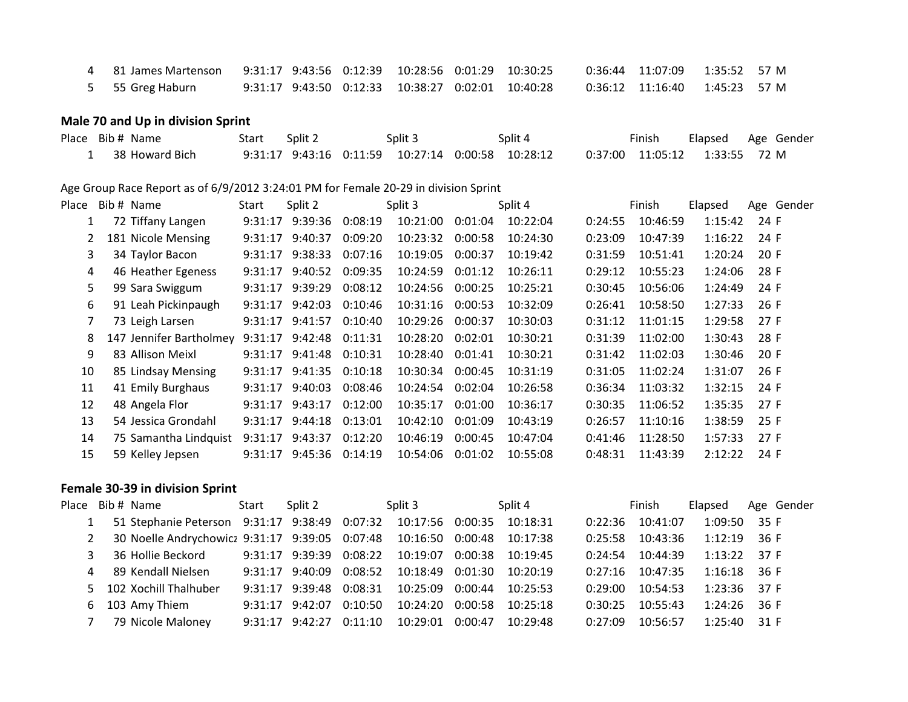| 4 81 James Martenson  9:31:17 9:43:56  0:12:39  10:28:56  0:01:29  10:30:25 |  |  |                                                        |                                 |  |
|-----------------------------------------------------------------------------|--|--|--------------------------------------------------------|---------------------------------|--|
| 5 55 Greg Haburn                                                            |  |  | 9:31:17  9:43:50  0:12:33  10:38:27  0:02:01  10:40:28 | $0:36:12$ 11:16:40 1:45:23 57 M |  |

## **Male 70 and Up in division Sprint**

| Place Bib # Name | Start | Split 2 | Split 3 | Split 4                                                                         | Finish | Elapsed Age Gender |  |
|------------------|-------|---------|---------|---------------------------------------------------------------------------------|--------|--------------------|--|
| 38 Howard Bich   |       |         |         | 9:31:17 9:43:16 0:11:59 10:27:14 0:00:58 10:28:12 0:37:00 11:05:12 1:33:55 72 M |        |                    |  |

#### Age Group Race Report as of 6/9/2012 3:24:01 PM for Female 20-29 in division Sprint

| Place        | Bib # Name              | Start   | Split 2 |         | Split 3  |         | Split 4  |         | Finish   | Elapsed | Age Gender |
|--------------|-------------------------|---------|---------|---------|----------|---------|----------|---------|----------|---------|------------|
| $\mathbf{1}$ | 72 Tiffany Langen       | 9:31:17 | 9:39:36 | 0:08:19 | 10:21:00 | 0:01:04 | 10:22:04 | 0:24:55 | 10:46:59 | 1:15:42 | 24 F       |
| 2            | 181 Nicole Mensing      | 9:31:17 | 9:40:37 | 0:09:20 | 10:23:32 | 0:00:58 | 10:24:30 | 0:23:09 | 10:47:39 | 1:16:22 | 24 F       |
| 3            | 34 Taylor Bacon         | 9:31:17 | 9:38:33 | 0:07:16 | 10:19:05 | 0:00:37 | 10:19:42 | 0:31:59 | 10:51:41 | 1:20:24 | 20 F       |
| 4            | 46 Heather Egeness      | 9:31:17 | 9:40:52 | 0:09:35 | 10:24:59 | 0:01:12 | 10:26:11 | 0:29:12 | 10:55:23 | 1:24:06 | 28 F       |
| 5.           | 99 Sara Swiggum         | 9:31:17 | 9:39:29 | 0:08:12 | 10:24:56 | 0:00:25 | 10:25:21 | 0:30:45 | 10:56:06 | 1:24:49 | 24 F       |
| 6            | 91 Leah Pickinpaugh     | 9:31:17 | 9:42:03 | 0:10:46 | 10:31:16 | 0:00:53 | 10:32:09 | 0:26:41 | 10:58:50 | 1:27:33 | 26 F       |
| 7            | 73 Leigh Larsen         | 9:31:17 | 9:41:57 | 0:10:40 | 10:29:26 | 0:00:37 | 10:30:03 | 0:31:12 | 11:01:15 | 1:29:58 | 27 F       |
| 8            | 147 Jennifer Bartholmey | 9:31:17 | 9:42:48 | 0:11:31 | 10:28:20 | 0:02:01 | 10:30:21 | 0:31:39 | 11:02:00 | 1:30:43 | 28 F       |
| 9            | 83 Allison Meixl        | 9:31:17 | 9:41:48 | 0:10:31 | 10:28:40 | 0:01:41 | 10:30:21 | 0:31:42 | 11:02:03 | 1:30:46 | 20 F       |
| 10           | 85 Lindsay Mensing      | 9:31:17 | 9:41:35 | 0:10:18 | 10:30:34 | 0:00:45 | 10:31:19 | 0:31:05 | 11:02:24 | 1:31:07 | 26F        |
| 11           | 41 Emily Burghaus       | 9:31:17 | 9:40:03 | 0:08:46 | 10:24:54 | 0:02:04 | 10:26:58 | 0:36:34 | 11:03:32 | 1:32:15 | 24 F       |
| 12           | 48 Angela Flor          | 9:31:17 | 9:43:17 | 0:12:00 | 10:35:17 | 0:01:00 | 10:36:17 | 0:30:35 | 11:06:52 | 1:35:35 | 27F        |
| 13           | 54 Jessica Grondahl     | 9:31:17 | 9:44:18 | 0:13:01 | 10:42:10 | 0:01:09 | 10:43:19 | 0:26:57 | 11:10:16 | 1:38:59 | 25 F       |
| 14           | 75 Samantha Lindquist   | 9:31:17 | 9:43:37 | 0:12:20 | 10:46:19 | 0:00:45 | 10:47:04 | 0:41:46 | 11:28:50 | 1:57:33 | 27 F       |
| 15           | 59 Kelley Jepsen        | 9:31:17 | 9:45:36 | 0:14:19 | 10:54:06 | 0:01:02 | 10:55:08 | 0:48:31 | 11:43:39 | 2:12:22 | 24 F       |
|              |                         |         |         |         |          |         |          |         |          |         |            |

## **Female 30-39 in division Sprint**

|              | Place Bib # Name 5tart Split 2                                                  |                 |         | Split 3                                                       | Split 4  |         | Finish             |                                 | Elapsed Age Gender |
|--------------|---------------------------------------------------------------------------------|-----------------|---------|---------------------------------------------------------------|----------|---------|--------------------|---------------------------------|--------------------|
|              | 1 51 Stephanie Peterson 9:31:17 9:38:49 0:07:32 10:17:56 0:00:35 10:18:31       |                 |         |                                                               |          |         | 0:22:36 10:41:07   | $1:09:50$ 35 F                  |                    |
| 2            | 30 Noelle Andrychowicz 9:31:17 9:39:05 0:07:48 10:16:50 0:00:48 10:17:38        |                 |         |                                                               |          |         | 0:25:58 10:43:36   | $1:12:19$ 36 F                  |                    |
| $\mathbf{3}$ | 36 Hollie Beckord   9:31:17   9:39:39   0:08:22   10:19:07   0:00:38   10:19:45 |                 |         |                                                               |          |         |                    | $0:24:54$ 10:44:39 1:13:22 37 F |                    |
|              | 4 89 Kendall Nielsen                                                            |                 |         | $9:31:17$ $9:40:09$ $0:08:52$ $10:18:49$ $0:01:30$ $10:20:19$ |          |         | $0:27:16$ 10:47:35 | $1:16:18$ 36 F                  |                    |
|              | 5 102 Xochill Thalhuber                                                         |                 |         | 9:31:17 9:39:48 0:08:31 10:25:09 0:00:44 10:25:53             |          | 0:29:00 | 10:54:53           | 1:23:36 37 F                    |                    |
|              | 6 103 Amy Thiem 9:31:17 9:42:07                                                 |                 | 0:10:50 | 10:24:20  0:00:58  10:25:18                                   |          | 0:30:25 | 10:55:43           | $1:24:26$ 36 F                  |                    |
| 7            | 79 Nicole Maloney                                                               | 9:31:17 9:42:27 | 0:11:10 |                                                               | 10:29:48 | 0:27:09 | 10:56:57           | $1:25:40$ 31 F                  |                    |